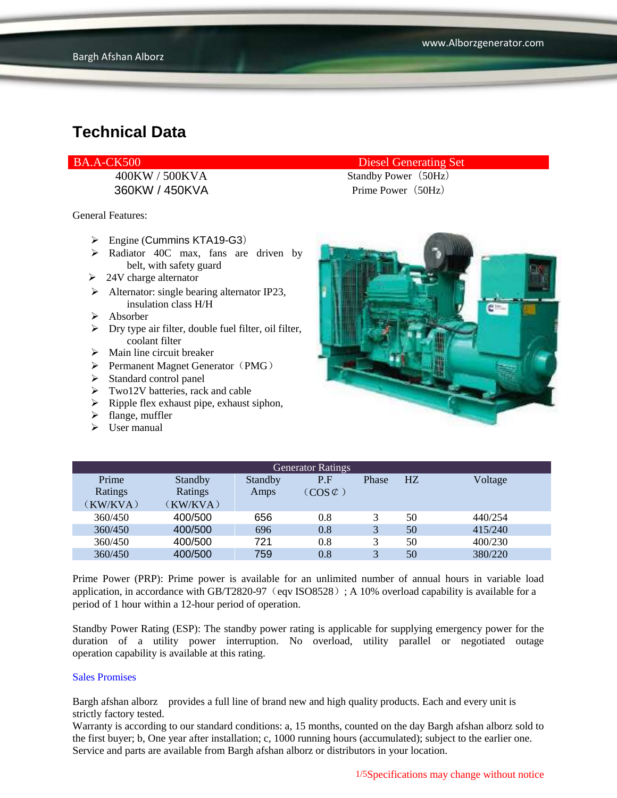400KW / 500KVA Standby Power (50Hz) 360KW / 450KVA Prime Power(50Hz)

General Features:

- $\triangleright$  Engine (Cummins KTA19-G3)
- > Radiator 40C max, fans are driven by belt, with safety guard
- $\geq$  24V charge alternator
- $\triangleright$  Alternator: single bearing alternator IP23, insulation class H/H
- $\triangleright$  Absorber
- $\triangleright$  Dry type air filter, double fuel filter, oil filter, coolant filter
- $\triangleright$  Main line circuit breaker
- $\triangleright$  Permanent Magnet Generator (PMG)
- $\triangleright$  Standard control panel
- $\triangleright$  Two12V batteries, rack and cable
- $\triangleright$  Ripple flex exhaust pipe, exhaust siphon,
- $\blacktriangleright$  flange, muffler
- $\triangleright$  User manual

### BA.A-CK500 Diesel Generating Set



| <b>Generator Ratings</b> |                |                |                     |                         |    |         |
|--------------------------|----------------|----------------|---------------------|-------------------------|----|---------|
| Prime                    | <b>Standby</b> | <b>Standby</b> | P.F                 | Phase                   | HZ | Voltage |
| Ratings                  | Ratings        | Amps           | $(COS \mathcal{C})$ |                         |    |         |
| (KW/KVA)                 | (KW/KVA)       |                |                     |                         |    |         |
| 360/450                  | 400/500        | 656            | 0.8                 |                         | 50 | 440/254 |
| 360/450                  | 400/500        | 696            | 0.8                 | 3                       | 50 | 415/240 |
| 360/450                  | 400/500        | 721            | 0.8                 |                         | 50 | 400/230 |
| 360/450                  | 400/500        | 759            | 0.8                 | $\overline{\mathbf{c}}$ | 50 | 380/220 |

Prime Power (PRP): Prime power is available for an unlimited number of annual hours in variable load application, in accordance with GB/T2820-97 (eqv ISO8528); A 10% overload capability is available for a period of 1 hour within a 12-hour period of operation.

Standby Power Rating (ESP): The standby power rating is applicable for supplying emergency power for the duration of a utility power interruption. No overload, utility parallel or negotiated outage operation capability is available at this rating.

#### Sales Promises

Bargh afshan alborz provides a full line of brand new and high quality products. Each and every unit is strictly factory tested.

Warranty is according to our standard conditions: a, 15 months, counted on the day Bargh afshan alborz sold to the first buyer; b, One year after installation; c, 1000 running hours (accumulated); subject to the earlier one. Service and parts are available from Bargh afshan alborz or distributors in your location.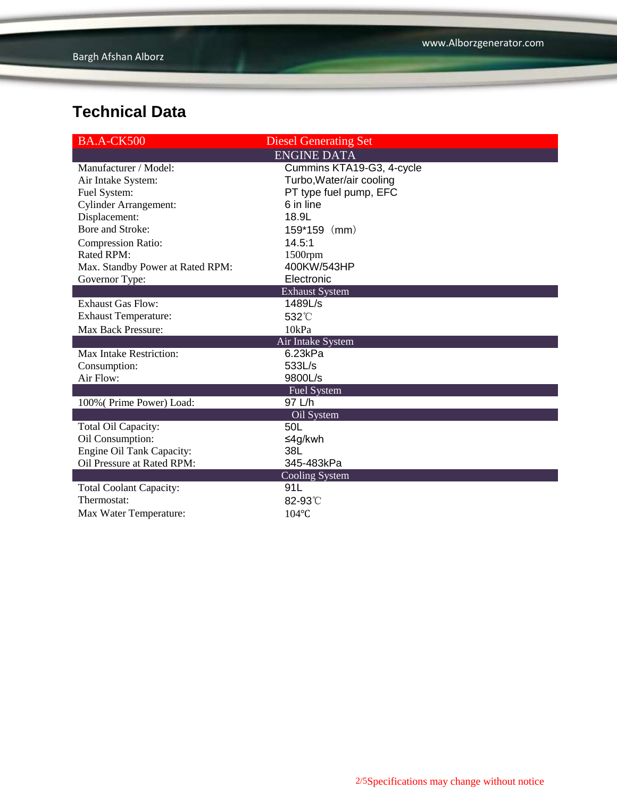| <b>BA.A-CK500</b>                | <b>Diesel Generating Set</b> |  |  |  |  |
|----------------------------------|------------------------------|--|--|--|--|
| <b>ENGINE DATA</b>               |                              |  |  |  |  |
| Manufacturer / Model:            | Cummins KTA19-G3, 4-cycle    |  |  |  |  |
| Air Intake System:               | Turbo, Water/air cooling     |  |  |  |  |
| Fuel System:                     | PT type fuel pump, EFC       |  |  |  |  |
| <b>Cylinder Arrangement:</b>     | 6 in line                    |  |  |  |  |
| Displacement:                    | 18.9L                        |  |  |  |  |
| Bore and Stroke:                 | $159*159$ (mm)               |  |  |  |  |
| <b>Compression Ratio:</b>        | 14.5:1                       |  |  |  |  |
| Rated RPM:                       | 1500rpm                      |  |  |  |  |
| Max. Standby Power at Rated RPM: | 400KW/543HP                  |  |  |  |  |
| Governor Type:                   | Electronic                   |  |  |  |  |
|                                  | <b>Exhaust System</b>        |  |  |  |  |
| <b>Exhaust Gas Flow:</b>         | 1489L/s                      |  |  |  |  |
| <b>Exhaust Temperature:</b>      | 532°C                        |  |  |  |  |
| Max Back Pressure:               | 10kPa                        |  |  |  |  |
|                                  | Air Intake System            |  |  |  |  |
| Max Intake Restriction:          | 6.23kPa                      |  |  |  |  |
| Consumption:                     | 533L/s                       |  |  |  |  |
| Air Flow:                        | 9800L/s                      |  |  |  |  |
|                                  | <b>Fuel System</b>           |  |  |  |  |
| 100% (Prime Power) Load:         | 97 L/h                       |  |  |  |  |
|                                  | Oil System                   |  |  |  |  |
| Total Oil Capacity:              | 50L                          |  |  |  |  |
| Oil Consumption:                 | ≤4g/kwh                      |  |  |  |  |
| <b>Engine Oil Tank Capacity:</b> | 38L                          |  |  |  |  |
| Oil Pressure at Rated RPM:       | 345-483kPa                   |  |  |  |  |
| <b>Cooling System</b>            |                              |  |  |  |  |
| <b>Total Coolant Capacity:</b>   | 91L                          |  |  |  |  |
| Thermostat:                      | 82-93°C                      |  |  |  |  |
| Max Water Temperature:           | $104$ °C                     |  |  |  |  |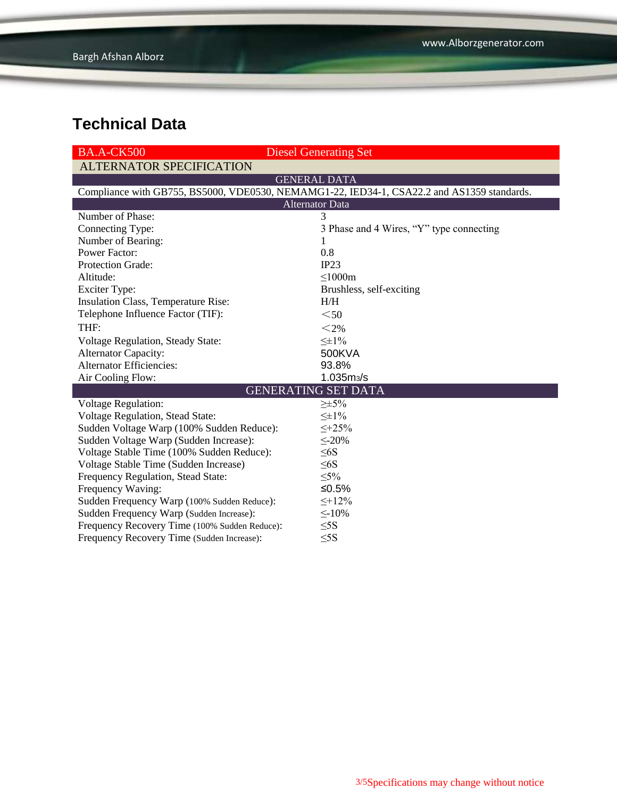| <b>BA.A-CK500</b>                             | <b>Diesel Generating Set</b>                                                               |  |  |  |  |
|-----------------------------------------------|--------------------------------------------------------------------------------------------|--|--|--|--|
| <b>ALTERNATOR SPECIFICATION</b>               |                                                                                            |  |  |  |  |
|                                               | <b>GENERAL DATA</b>                                                                        |  |  |  |  |
|                                               | Compliance with GB755, BS5000, VDE0530, NEMAMG1-22, IED34-1, CSA22.2 and AS1359 standards. |  |  |  |  |
| <b>Alternator Data</b>                        |                                                                                            |  |  |  |  |
| Number of Phase:                              | 3                                                                                          |  |  |  |  |
| Connecting Type:                              | 3 Phase and 4 Wires, "Y" type connecting                                                   |  |  |  |  |
| Number of Bearing:                            | $\mathbf{I}$                                                                               |  |  |  |  |
| <b>Power Factor:</b>                          | 0.8                                                                                        |  |  |  |  |
| Protection Grade:                             | IP23                                                                                       |  |  |  |  |
| Altitude:                                     | $\leq 1000m$                                                                               |  |  |  |  |
| <b>Exciter Type:</b>                          | Brushless, self-exciting                                                                   |  |  |  |  |
| Insulation Class, Temperature Rise:           | H/H                                                                                        |  |  |  |  |
| Telephone Influence Factor (TIF):             | $50$                                                                                       |  |  |  |  |
| THF:                                          | $<$ 2%                                                                                     |  |  |  |  |
| Voltage Regulation, Steady State:             | $\leq \pm 1\%$                                                                             |  |  |  |  |
| Alternator Capacity:                          | 500KVA                                                                                     |  |  |  |  |
| <b>Alternator Efficiencies:</b>               | 93.8%                                                                                      |  |  |  |  |
| Air Cooling Flow:                             | 1.035m <sub>3</sub> /s                                                                     |  |  |  |  |
| <b>GENERATING SET DATA</b>                    |                                                                                            |  |  |  |  |
| <b>Voltage Regulation:</b>                    | $\geq \pm 5\%$                                                                             |  |  |  |  |
| Voltage Regulation, Stead State:              | $\leq \pm 1\%$                                                                             |  |  |  |  |
| Sudden Voltage Warp (100% Sudden Reduce):     | $\leq +25\%$                                                                               |  |  |  |  |
| Sudden Voltage Warp (Sudden Increase):        | $\leq$ -20%                                                                                |  |  |  |  |
| Voltage Stable Time (100% Sudden Reduce):     | $\leq 6S$                                                                                  |  |  |  |  |
| Voltage Stable Time (Sudden Increase)         | $\leq 6S$                                                                                  |  |  |  |  |
| Frequency Regulation, Stead State:            | $\leq 5\%$                                                                                 |  |  |  |  |
| Frequency Waving:                             | $≤0.5%$                                                                                    |  |  |  |  |
| Sudden Frequency Warp (100% Sudden Reduce):   | $\leq +12\%$                                                                               |  |  |  |  |
| Sudden Frequency Warp (Sudden Increase):      | $\leq$ -10%                                                                                |  |  |  |  |
| Frequency Recovery Time (100% Sudden Reduce): | $\leq$ 5S                                                                                  |  |  |  |  |
| Frequency Recovery Time (Sudden Increase):    | $\leq$ 5S                                                                                  |  |  |  |  |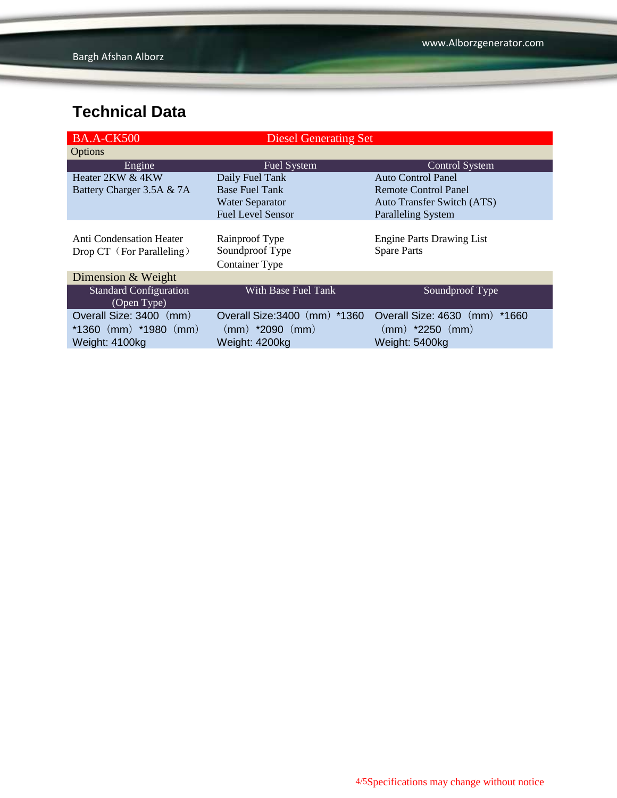| <b>BA.A-CK500</b>               | <b>Diesel Generating Set</b>  |                                   |
|---------------------------------|-------------------------------|-----------------------------------|
| Options                         |                               |                                   |
| Engine                          | Fuel System                   | <b>Control System</b>             |
| Heater 2KW & 4KW                | Daily Fuel Tank               | <b>Auto Control Panel</b>         |
| Battery Charger 3.5A & 7A       | <b>Base Fuel Tank</b>         | <b>Remote Control Panel</b>       |
|                                 | <b>Water Separator</b>        | <b>Auto Transfer Switch (ATS)</b> |
|                                 | <b>Fuel Level Sensor</b>      | <b>Paralleling System</b>         |
|                                 |                               |                                   |
| <b>Anti Condensation Heater</b> | Rainproof Type                | <b>Engine Parts Drawing List</b>  |
| Drop CT (For Paralleling)       | Soundproof Type               | <b>Spare Parts</b>                |
|                                 | <b>Container Type</b>         |                                   |
| Dimension & Weight              |                               |                                   |
| <b>Standard Configuration</b>   | With Base Fuel Tank           | Soundproof Type                   |
| (Open Type)                     |                               |                                   |
| Overall Size: 3400 (mm)         | Overall Size: 3400 (mm) *1360 | Overall Size: 4630 (mm)<br>*1660  |
| $*1360$ (mm) $*1980$ (mm)       | $(mm)$ *2090 $(mm)$           | $(mm)$ *2250 $(mm)$               |
| Weight: 4100kg                  | Weight: 4200kg                | Weight: 5400kg                    |